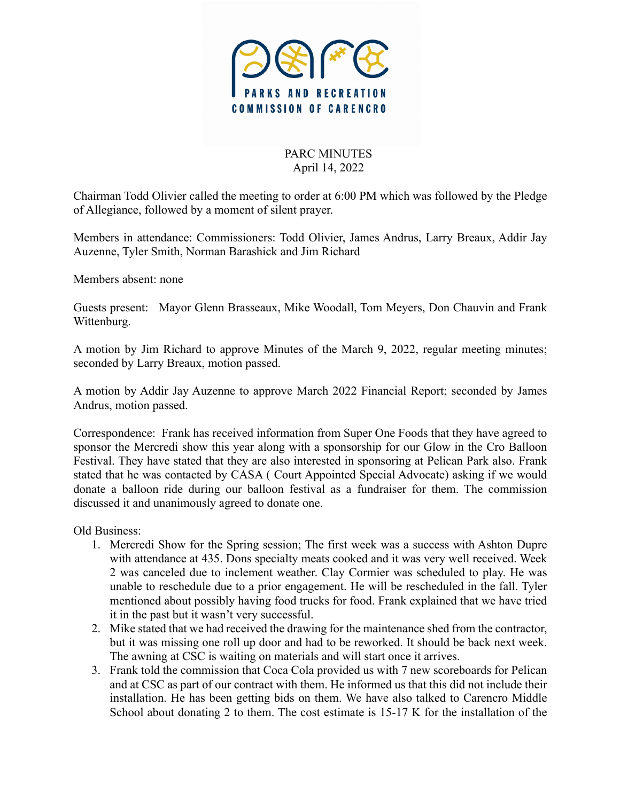

## PARC MINUTES April 14, 2022

Chairman Todd Olivier called the meeting to order at 6:00 PM which was followed by the Pledge of Allegiance, followed by a moment of silent prayer.

Members in attendance: Commissioners: Todd Olivier, James Andrus, Larry Breaux, Addir Jay Auzenne, Tyler Smith, Norman Barashick and Jim Richard

Members absent: none

Guests present: Mayor Glenn Brasseaux, Mike Woodall, Tom Meyers, Don Chauvin and Frank Wittenburg.

A motion by Jim Richard to approve Minutes of the March 9, 2022, regular meeting minutes; seconded by Larry Breaux, motion passed.

A motion by Addir Jay Auzenne to approve March 2022 Financial Report; seconded by James Andrus, motion passed.

Correspondence: Frank has received information from Super One Foods that they have agreed to sponsor the Mercredi show this year along with a sponsorship for our Glow in the Cro Balloon Festival. They have stated that they are also interested in sponsoring at Pelican Park also. Frank stated that he was contacted by CASA ( Court Appointed Special Advocate) asking if we would donate a balloon ride during our balloon festival as a fundraiser for them. The commission discussed it and unanimously agreed to donate one.

Old Business:

- 1. Mercredi Show for the Spring session; The first week was a success with Ashton Dupre with attendance at 435. Dons specialty meats cooked and it was very well received. Week 2 was canceled due to inclement weather. Clay Cormier was scheduled to play. He was unable to reschedule due to a prior engagement. He will be rescheduled in the fall. Tyler mentioned about possibly having food trucks for food. Frank explained that we have tried it in the past but it wasn't very successful.
- 2. Mike stated that we had received the drawing for the maintenance shed from the contractor, but it was missing one roll up door and had to be reworked. It should be back next week. The awning at CSC is waiting on materials and will start once it arrives.
- 3. Frank told the commission that Coca Cola provided us with 7 new scoreboards for Pelican and at CSC as part of our contract with them. He informed us that this did not include their installation. He has been getting bids on them. We have also talked to Carencro Middle School about donating 2 to them. The cost estimate is 15-17 K for the installation of the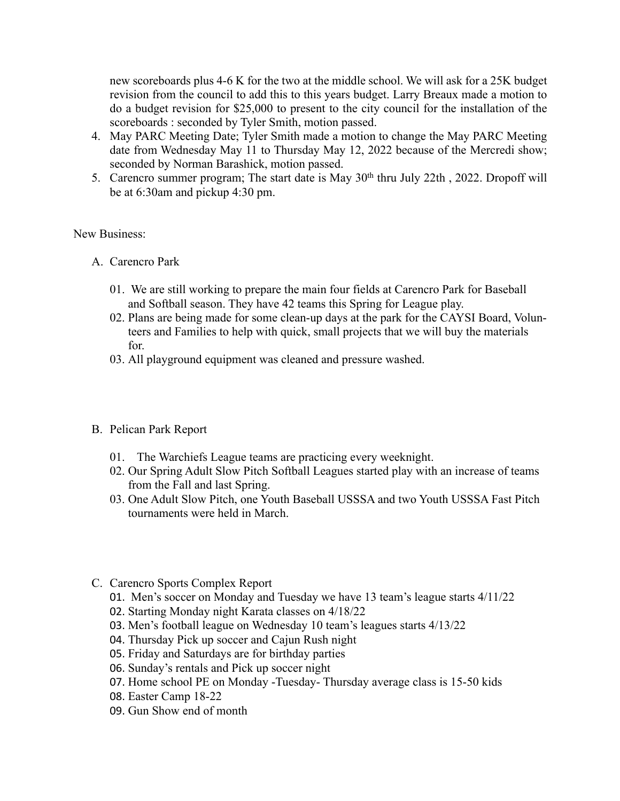new scoreboards plus 4-6 K for the two at the middle school. We will ask for a 25K budget revision from the council to add this to this years budget. Larry Breaux made a motion to do a budget revision for \$25,000 to present to the city council for the installation of the scoreboards : seconded by Tyler Smith, motion passed.

- 4. May PARC Meeting Date; Tyler Smith made a motion to change the May PARC Meeting date from Wednesday May 11 to Thursday May 12, 2022 because of the Mercredi show; seconded by Norman Barashick, motion passed.
- 5. Carencro summer program; The start date is May 30<sup>th</sup> thru July 22th, 2022. Dropoff will be at 6:30am and pickup 4:30 pm.

## New Business:

- A. Carencro Park
	- 01. We are still working to prepare the main four fields at Carencro Park for Baseball and Softball season. They have 42 teams this Spring for League play.
	- 02. Plans are being made for some clean-up days at the park for the CAYSI Board, Volunteers and Families to help with quick, small projects that we will buy the materials for.
	- 03. All playground equipment was cleaned and pressure washed.

## B. Pelican Park Report

- 01. The Warchiefs League teams are practicing every weeknight.
- 02. Our Spring Adult Slow Pitch Softball Leagues started play with an increase of teams from the Fall and last Spring.
- 03. One Adult Slow Pitch, one Youth Baseball USSSA and two Youth USSSA Fast Pitch tournaments were held in March.
- C. Carencro Sports Complex Report
	- 01. Men's soccer on Monday and Tuesday we have 13 team's league starts 4/11/22
	- 02. Starting Monday night Karata classes on 4/18/22
	- 03. Men's football league on Wednesday 10 team's leagues starts 4/13/22
	- 04. Thursday Pick up soccer and Cajun Rush night
	- 05. Friday and Saturdays are for birthday parties
	- 06. Sunday's rentals and Pick up soccer night
	- 07. Home school PE on Monday -Tuesday- Thursday average class is 15-50 kids
	- 08. Easter Camp 18-22
	- 09. Gun Show end of month